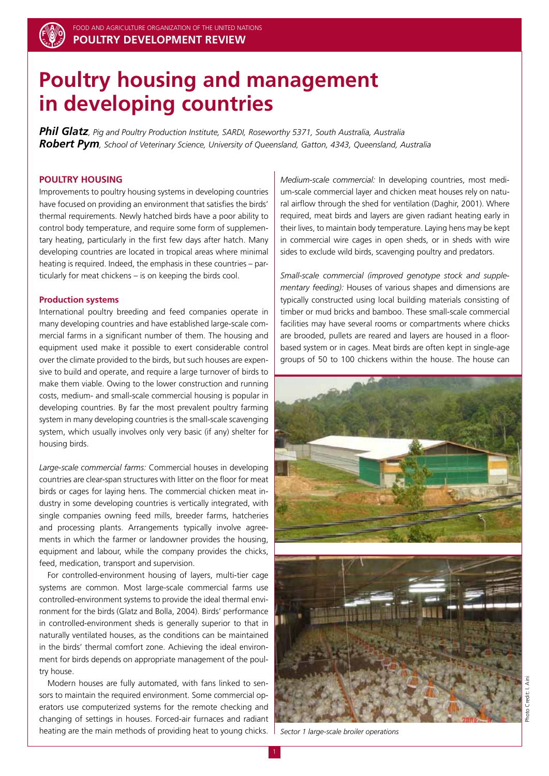

# **Poultry housing and management in developing countries**

*Phil Glatz, Pig and Poultry Production Institute, SARDI, Roseworthy 5371, South Australia, Australia Robert Pym, School of Veterinary Science, University of Queensland, Gatton, 4343, Queensland, Australia*

# **Poultry housing**

Improvements to poultry housing systems in developing countries have focused on providing an environment that satisfies the birds' thermal requirements. Newly hatched birds have a poor ability to control body temperature, and require some form of supplementary heating, particularly in the first few days after hatch. Many developing countries are located in tropical areas where minimal heating is required. Indeed, the emphasis in these countries – particularly for meat chickens – is on keeping the birds cool.

## **Production systems**

International poultry breeding and feed companies operate in many developing countries and have established large-scale commercial farms in a significant number of them. The housing and equipment used make it possible to exert considerable control over the climate provided to the birds, but such houses are expensive to build and operate, and require a large turnover of birds to make them viable. Owing to the lower construction and running costs, medium- and small-scale commercial housing is popular in developing countries. By far the most prevalent poultry farming system in many developing countries is the small-scale scavenging system, which usually involves only very basic (if any) shelter for housing birds.

*Large-scale commercial farms:* Commercial houses in developing countries are clear-span structures with litter on the floor for meat birds or cages for laying hens. The commercial chicken meat industry in some developing countries is vertically integrated, with single companies owning feed mills, breeder farms, hatcheries and processing plants. Arrangements typically involve agreements in which the farmer or landowner provides the housing, equipment and labour, while the company provides the chicks, feed, medication, transport and supervision.

For controlled-environment housing of layers, multi-tier cage systems are common. Most large-scale commercial farms use controlled-environment systems to provide the ideal thermal environment for the birds (Glatz and Bolla, 2004). Birds' performance in controlled-environment sheds is generally superior to that in naturally ventilated houses, as the conditions can be maintained in the birds' thermal comfort zone. Achieving the ideal environment for birds depends on appropriate management of the poultry house.

Modern houses are fully automated, with fans linked to sensors to maintain the required environment. Some commercial operators use computerized systems for the remote checking and changing of settings in houses. Forced-air furnaces and radiant heating are the main methods of providing heat to young chicks. *Medium-scale commercial:* In developing countries, most medium-scale commercial layer and chicken meat houses rely on natural airflow through the shed for ventilation (Daghir, 2001). Where required, meat birds and layers are given radiant heating early in their lives, to maintain body temperature. Laying hens may be kept in commercial wire cages in open sheds, or in sheds with wire sides to exclude wild birds, scavenging poultry and predators.

*Small-scale commercial (improved genotype stock and supplementary feeding):* Houses of various shapes and dimensions are typically constructed using local building materials consisting of timber or mud bricks and bamboo. These small-scale commercial facilities may have several rooms or compartments where chicks are brooded, pullets are reared and layers are housed in a floorbased system or in cages. Meat birds are often kept in single-age groups of 50 to 100 chickens within the house. The house can



*Sector 1 large-scale broiler operations*

1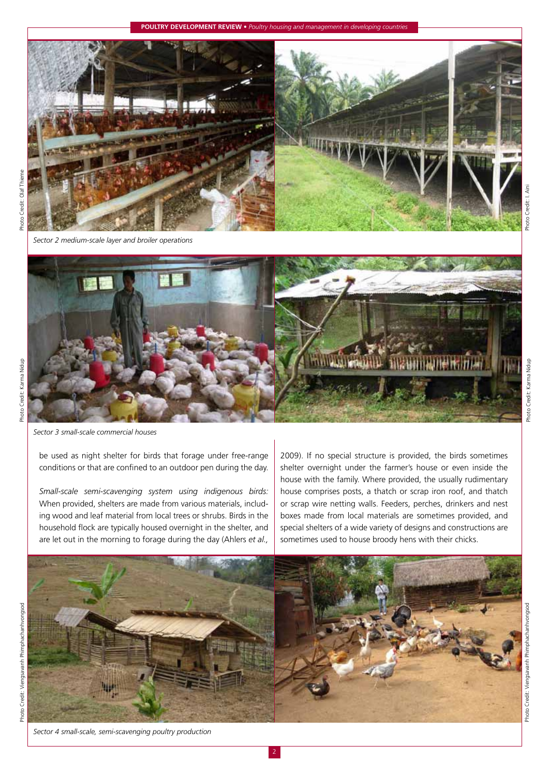## **Poultry Development Review •** *Poultry housing and management in developing countries*



*Sector 2 medium-scale layer and broiler operations*

*Sector 3 small-scale commercial houses*

be used as night shelter for birds that forage under free-range conditions or that are confined to an outdoor pen during the day.

*Small-scale semi-scavenging system using indigenous birds:*  When provided, shelters are made from various materials, including wood and leaf material from local trees or shrubs. Birds in the household flock are typically housed overnight in the shelter, and

2009). If no special structure is provided, the birds sometimes shelter overnight under the farmer's house or even inside the house with the family. Where provided, the usually rudimentary house comprises posts, a thatch or scrap iron roof, and thatch or scrap wire netting walls. Feeders, perches, drinkers and nest boxes made from local materials are sometimes provided, and special shelters of a wide variety of designs and constructions are sometimes used to house broody hens with their chicks.



Photo Credit: Karma Nidup

Photo Credit: Karma Nidup

Photo Credit: I. Aini

Photo Credit: I

*Sector 4 small-scale, semi-scavenging poultry production*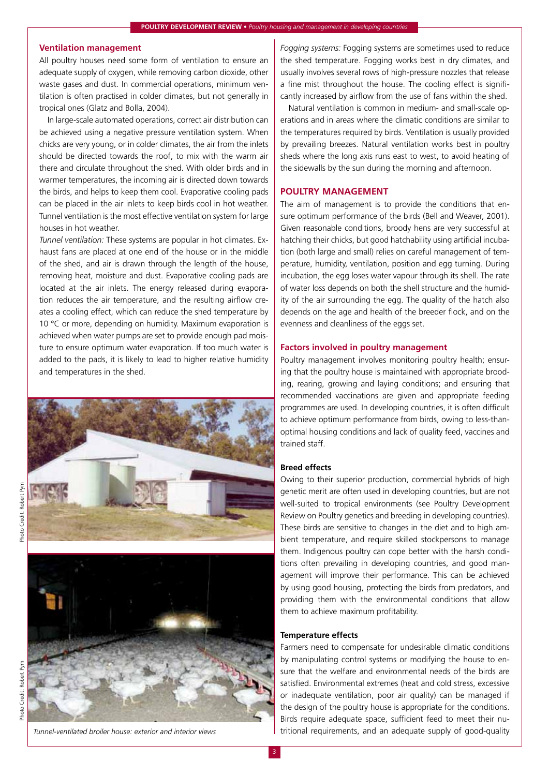# **Ventilation management**

All poultry houses need some form of ventilation to ensure an adequate supply of oxygen, while removing carbon dioxide, other waste gases and dust. In commercial operations, minimum ventilation is often practised in colder climates, but not generally in tropical ones (Glatz and Bolla, 2004).

In large-scale automated operations, correct air distribution can be achieved using a negative pressure ventilation system. When chicks are very young, or in colder climates, the air from the inlets should be directed towards the roof, to mix with the warm air there and circulate throughout the shed. With older birds and in warmer temperatures, the incoming air is directed down towards the birds, and helps to keep them cool. Evaporative cooling pads can be placed in the air inlets to keep birds cool in hot weather. Tunnel ventilation is the most effective ventilation system for large houses in hot weather.

*Tunnel ventilation:* These systems are popular in hot climates. Exhaust fans are placed at one end of the house or in the middle of the shed, and air is drawn through the length of the house, removing heat, moisture and dust. Evaporative cooling pads are located at the air inlets. The energy released during evaporation reduces the air temperature, and the resulting airflow creates a cooling effect, which can reduce the shed temperature by 10 °C or more, depending on humidity. Maximum evaporation is achieved when water pumps are set to provide enough pad moisture to ensure optimum water evaporation. If too much water is added to the pads, it is likely to lead to higher relative humidity and temperatures in the shed.



Photo Credit: Robert Pym



*Fogging systems:* Fogging systems are sometimes used to reduce the shed temperature. Fogging works best in dry climates, and usually involves several rows of high-pressure nozzles that release a fine mist throughout the house. The cooling effect is significantly increased by airflow from the use of fans within the shed.

Natural ventilation is common in medium- and small-scale operations and in areas where the climatic conditions are similar to the temperatures required by birds. Ventilation is usually provided by prevailing breezes. Natural ventilation works best in poultry sheds where the long axis runs east to west, to avoid heating of the sidewalls by the sun during the morning and afternoon.

# **Poultry management**

The aim of management is to provide the conditions that ensure optimum performance of the birds (Bell and Weaver, 2001). Given reasonable conditions, broody hens are very successful at hatching their chicks, but good hatchability using artificial incubation (both large and small) relies on careful management of temperature, humidity, ventilation, position and egg turning. During incubation, the egg loses water vapour through its shell. The rate of water loss depends on both the shell structure and the humidity of the air surrounding the egg. The quality of the hatch also depends on the age and health of the breeder flock, and on the evenness and cleanliness of the eggs set.

## **Factors involved in poultry management**

Poultry management involves monitoring poultry health; ensuring that the poultry house is maintained with appropriate brooding, rearing, growing and laying conditions; and ensuring that recommended vaccinations are given and appropriate feeding programmes are used. In developing countries, it is often difficult to achieve optimum performance from birds, owing to less-thanoptimal housing conditions and lack of quality feed, vaccines and trained staff.

# **Breed effects**

Owing to their superior production, commercial hybrids of high genetic merit are often used in developing countries, but are not well-suited to tropical environments (see Poultry Development Review on Poultry genetics and breeding in developing countries). These birds are sensitive to changes in the diet and to high ambient temperature, and require skilled stockpersons to manage them. Indigenous poultry can cope better with the harsh conditions often prevailing in developing countries, and good management will improve their performance. This can be achieved by using good housing, protecting the birds from predators, and providing them with the environmental conditions that allow them to achieve maximum profitability.

#### **Temperature effects**

Farmers need to compensate for undesirable climatic conditions by manipulating control systems or modifying the house to ensure that the welfare and environmental needs of the birds are satisfied. Environmental extremes (heat and cold stress, excessive or inadequate ventilation, poor air quality) can be managed if the design of the poultry house is appropriate for the conditions. Birds require adequate space, sufficient feed to meet their nu-*Tunnel-ventilated broiler house: exterior and interior views* **the set of the stritional requirements, and an adequate supply of good-quality**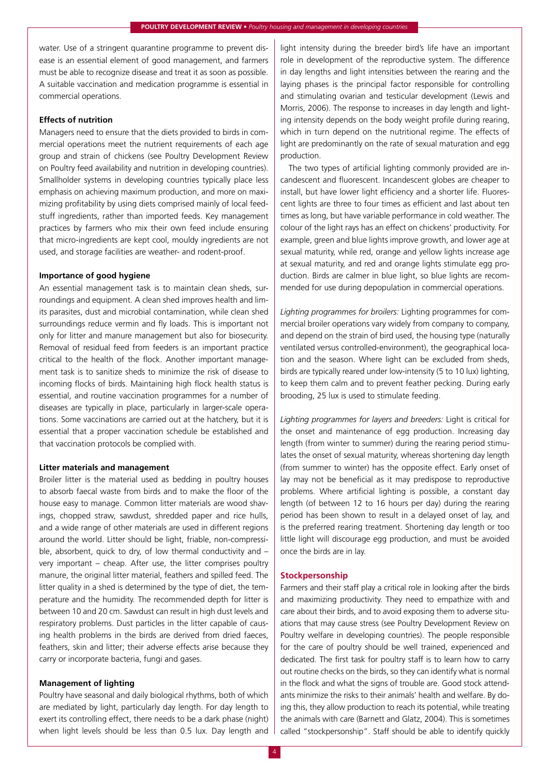water. Use of a stringent quarantine programme to prevent disease is an essential element of good management, and farmers must be able to recognize disease and treat it as soon as possible. A suitable vaccination and medication programme is essential in commercial operations.

# **Effects of nutrition**

Managers need to ensure that the diets provided to birds in commercial operations meet the nutrient requirements of each age group and strain of chickens (see Poultry Development Review on Poultry feed availability and nutrition in developing countries). Smallholder systems in developing countries typically place less emphasis on achieving maximum production, and more on maximizing profitability by using diets comprised mainly of local feedstuff ingredients, rather than imported feeds. Key management practices by farmers who mix their own feed include ensuring that micro-ingredients are kept cool, mouldy ingredients are not used, and storage facilities are weather- and rodent-proof.

# **Importance of good hygiene**

An essential management task is to maintain clean sheds, surroundings and equipment. A clean shed improves health and limits parasites, dust and microbial contamination, while clean shed surroundings reduce vermin and fly loads. This is important not only for litter and manure management but also for biosecurity. Removal of residual feed from feeders is an important practice critical to the health of the flock. Another important management task is to sanitize sheds to minimize the risk of disease to incoming flocks of birds. Maintaining high flock health status is essential, and routine vaccination programmes for a number of diseases are typically in place, particularly in larger-scale operations. Some vaccinations are carried out at the hatchery, but it is essential that a proper vaccination schedule be established and that vaccination protocols be complied with.

## **Litter materials and management**

Broiler litter is the material used as bedding in poultry houses to absorb faecal waste from birds and to make the floor of the house easy to manage. Common litter materials are wood shavings, chopped straw, sawdust, shredded paper and rice hulls, and a wide range of other materials are used in different regions around the world. Litter should be light, friable, non-compressible, absorbent, quick to dry, of low thermal conductivity and – very important – cheap. After use, the litter comprises poultry manure, the original litter material, feathers and spilled feed. The litter quality in a shed is determined by the type of diet, the temperature and the humidity. The recommended depth for litter is between 10 and 20 cm. Sawdust can result in high dust levels and respiratory problems. Dust particles in the litter capable of causing health problems in the birds are derived from dried faeces, feathers, skin and litter; their adverse effects arise because they carry or incorporate bacteria, fungi and gases.

## **Management of lighting**

Poultry have seasonal and daily biological rhythms, both of which are mediated by light, particularly day length. For day length to exert its controlling effect, there needs to be a dark phase (night) when light levels should be less than 0.5 lux. Day length and light intensity during the breeder bird's life have an important role in development of the reproductive system. The difference in day lengths and light intensities between the rearing and the laying phases is the principal factor responsible for controlling and stimulating ovarian and testicular development (Lewis and Morris, 2006). The response to increases in day length and lighting intensity depends on the body weight profile during rearing, which in turn depend on the nutritional regime. The effects of light are predominantly on the rate of sexual maturation and egg production.

The two types of artificial lighting commonly provided are incandescent and fluorescent. Incandescent globes are cheaper to install, but have lower light efficiency and a shorter life. Fluorescent lights are three to four times as efficient and last about ten times as long, but have variable performance in cold weather. The colour of the light rays has an effect on chickens' productivity. For example, green and blue lights improve growth, and lower age at sexual maturity, while red, orange and yellow lights increase age at sexual maturity, and red and orange lights stimulate egg production. Birds are calmer in blue light, so blue lights are recommended for use during depopulation in commercial operations.

*Lighting programmes for broilers:* Lighting programmes for commercial broiler operations vary widely from company to company, and depend on the strain of bird used, the housing type (naturally ventilated versus controlled-environment), the geographical location and the season. Where light can be excluded from sheds, birds are typically reared under low-intensity (5 to 10 lux) lighting, to keep them calm and to prevent feather pecking. During early brooding, 25 lux is used to stimulate feeding.

*Lighting programmes for layers and breeders:* Light is critical for the onset and maintenance of egg production. Increasing day length (from winter to summer) during the rearing period stimulates the onset of sexual maturity, whereas shortening day length (from summer to winter) has the opposite effect. Early onset of lay may not be beneficial as it may predispose to reproductive problems. Where artificial lighting is possible, a constant day length (of between 12 to 16 hours per day) during the rearing period has been shown to result in a delayed onset of lay, and is the preferred rearing treatment. Shortening day length or too little light will discourage egg production, and must be avoided once the birds are in lay.

### **Stockpersonship**

Farmers and their staff play a critical role in looking after the birds and maximizing productivity. They need to empathize with and care about their birds, and to avoid exposing them to adverse situations that may cause stress (see Poultry Development Review on Poultry welfare in developing countries). The people responsible for the care of poultry should be well trained, experienced and dedicated. The first task for poultry staff is to learn how to carry out routine checks on the birds, so they can identify what is normal in the flock and what the signs of trouble are. Good stock attendants minimize the risks to their animals' health and welfare. By doing this, they allow production to reach its potential, while treating the animals with care (Barnett and Glatz, 2004). This is sometimes called "stockpersonship". Staff should be able to identify quickly